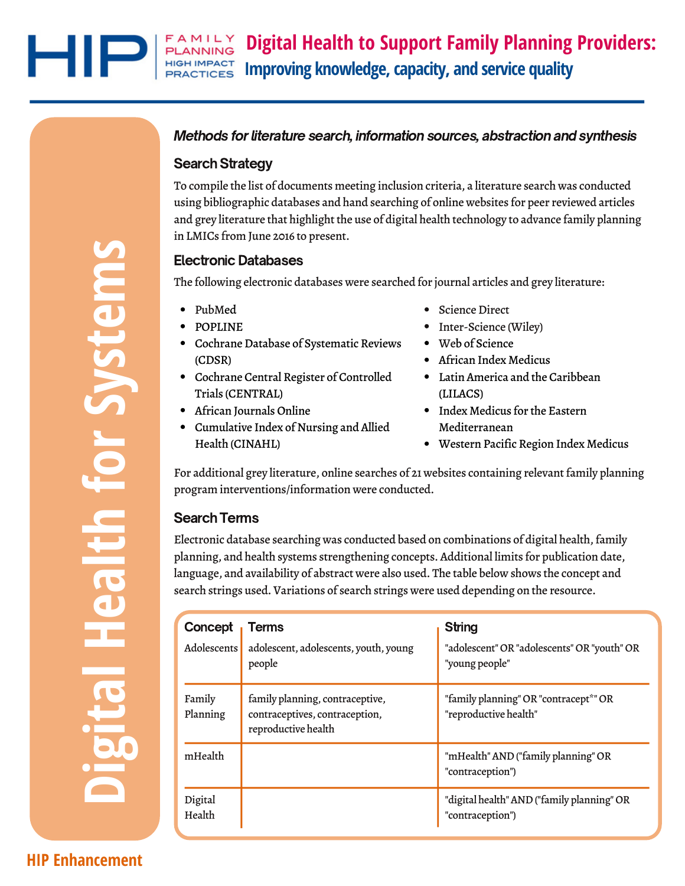# **DigitaHeathforS y S tems**

## Methods for literature search, information sources, abstraction and synthesis

#### **Search Strategy**

To compile the list of documents meeting inclusion criteria, a literature search was conducted using bibliographic databases and hand searching of online websites for peerreviewed articles and grey literature that highlight the use of digital health technology to advance family planning in LMICs from June 2016 to present.

#### Electronic Databases

The following electronic databases were searched for journal articles and grey literature:

- PubMed
- POPLINE
- Cochrane Database of Systematic Reviews (CDSR)
- Cochrane Central Register of Controlled Trials (CENTRAL)
- African Journals Online
- Cumulative Index of Nursing and Allied Health (CINAHL)
- Science Direct
- Inter-Science (Wiley)
- Web of Science
- African Index Medicus
- Latin America and the Caribbean (LILACS)
- Index Medicus for the Eastern Mediterranean
- Western Pacific Region Index Medicus

For additional grey literature, online searches of 21 websites containing relevant family planning program interventions/information were conducted.

### Search Terms

Electronic database searching was conducted based on combinations of digital health, family planning, and health systems strengthening concepts. Additional limits for publication date, language, and availability of abstract were also used. The table below shows the concept and search strings used. Variations of search strings were used depending on the resource.

| Concept            | Terms                                                                                    | String                                                         |
|--------------------|------------------------------------------------------------------------------------------|----------------------------------------------------------------|
| Adolescents        | adolescent, adolescents, youth, young<br>people                                          | "adolescent" OR "adolescents" OR "youth" OR<br>"young people"  |
| Family<br>Planning | family planning, contraceptive,<br>contraceptives, contraception,<br>reproductive health | "family planning" OR "contracept*" OR<br>"reproductive health" |
| mHealth            |                                                                                          | "mHealth" AND ("family planning" OR<br>"contraception")        |
| Digital<br>Health  |                                                                                          | "digital health" AND ("family planning" OR<br>"contraception") |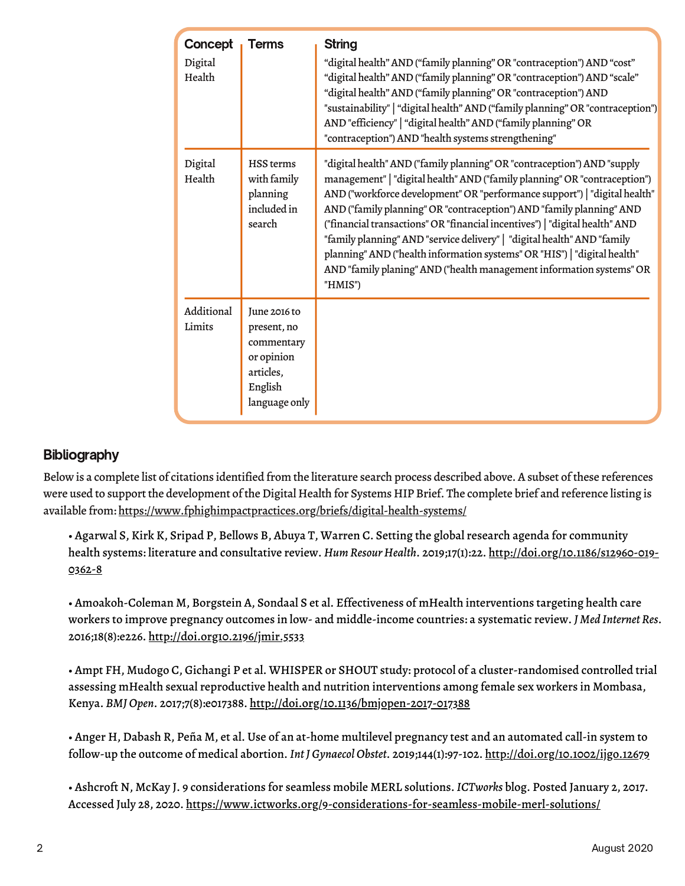| Concept<br>Digital<br>Health | <b>Terms</b>                                                                                     | <b>String</b><br>"digital health" AND ("family planning" OR "contraception") AND "cost"<br>"digital health" AND ("family planning" OR "contraception") AND "scale"<br>"digital health" AND ("family planning" OR "contraception") AND<br>"sustainability"   "digital health" AND ("family planning" OR "contraception")<br>AND "efficiency"   "digital health" AND ("family planning" OR<br>"contraception") AND "health systems strengthening"                                                                                                                                                                                    |
|------------------------------|--------------------------------------------------------------------------------------------------|------------------------------------------------------------------------------------------------------------------------------------------------------------------------------------------------------------------------------------------------------------------------------------------------------------------------------------------------------------------------------------------------------------------------------------------------------------------------------------------------------------------------------------------------------------------------------------------------------------------------------------|
| Digital<br>Health            | <b>HSS</b> terms<br>with family<br>planning<br>included in<br>search                             | "digital health" AND ("family planning" OR "contraception") AND "supply<br>management"   "digital health" AND ("family planning" OR "contraception")<br>AND ("workforce development" OR "performance support")   "digital health"<br>AND ("family planning" OR "contraception") AND "family planning" AND<br>("financial transactions" OR "financial incentives")   "digital health" AND<br>"family planning" AND "service delivery"   "digital health" AND "family<br>planning" AND ("health information systems" OR "HIS")   "digital health"<br>AND "family planing" AND ("health management information systems" OR<br>"HMIS") |
| Additional<br>Limits         | June 2016 to<br>present, no<br>commentary<br>or opinion<br>articles,<br>English<br>language only |                                                                                                                                                                                                                                                                                                                                                                                                                                                                                                                                                                                                                                    |

## **Bibliography**

Below is a complete list of citations identified from the literature search process described above. A subset of these references were used to support the development of the Digital Health for Systems HIP Brief. The complete brief and reference listing is available from: <https://www.fphighimpactpractices.org/briefs/digital-health-systems/>

• Agarwal S, Kirk K, Sripad P, Bellows B, Abuya T, Warren C. Setting the globalresearch agenda for community health systems: literature and consultative review. *Hum Resour Health*. 2019;17(1):22. [http://doi.org/10.1186/s12960-019-](http://doi.org/10.1186/s12960-019-0362-8) 0362-8

• Amoakoh-Coleman M, Borgstein A, Sondaal S et al. Effectiveness of mHealth interventions targeting health care workers to improve pregnancy outcomes in low- and middle-income countries: a systematic review. *J Med Internet Res*. 2016;18(8):e226. <http://doi.org10.2196/jmir.5533>

• Ampt FH, Mudogo C, Gichangi P et al. WHISPER or SHOUT study: protocol of a cluster-randomised controlled trial assessing mHealth sexual reproductive health and nutrition interventions among female sex workers in Mombasa, Kenya. *BMJOpen*. 2017;7(8):e017388. <http://doi.org/10.1136/bmjopen-2017-017388>

• Anger H, Dabash R, Peña M, et al. Use of an at-home multilevel pregnancy test and an automated call-in system to follow-up the outcome of medical abortion. *Int J GynaecolObstet*. 2019;144(1):97-102. <http://doi.org/10.1002/ijgo.12679>

• Ashcroft N, McKay J. 9 considerations for seamless mobile MERL solutions. *ICTworks* blog. Posted January 2, 2017. Accessed July 28, 2020. <https://www.ictworks.org/9-considerations-for-seamless-mobile-merl-solutions/>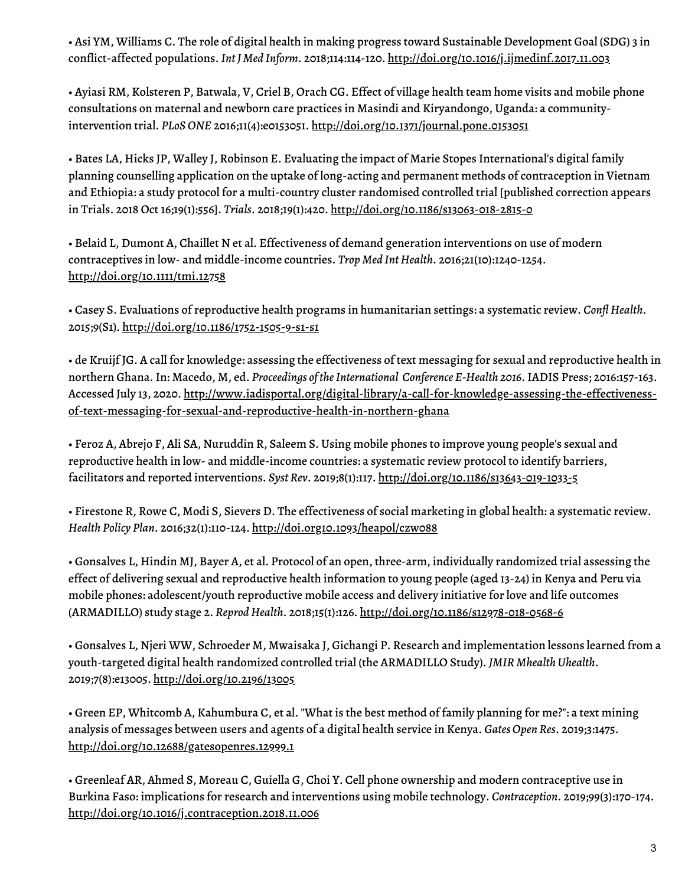• Asi YM, Williams C. The role of digital health in making progress toward Sustainable Development Goal (SDG) 3 in conflict-affected populations. *Int J Med Inform*. 2018;114:114-120. <http://doi.org/10.1016/j.ijmedinf.2017.11.003>

• Ayiasi RM, Kolsteren P, Batwala, V, Criel B, Orach CG. Effect of village health team home visits and mobile phone consultations on maternal and newborn care practices in Masindi and Kiryandongo, Uganda: a communityintervention trial. *PLoSONE* 2016;11(4):e0153051. <http://doi.org/10.1371/journal.pone.0153051>

• Bates LA, Hicks JP, Walley J, Robinson E. Evaluating the impact of Marie Stopes International's digital family planning counselling application on the uptake of long-acting and permanent methods of contraception in Vietnam and Ethiopia: a study protocol for a multi-country cluster randomised controlled trial [published correction appears in Trials. 2018 Oct 16;19(1):556]. *Trials*. 2018;19(1):420. <http://doi.org/10.1186/s13063-018-2815-0>

• Belaid L, Dumont A, Chaillet N et al. Effectiveness of demand generation interventions on use of modern contraceptives in low- and middle-income countries. *Trop Med Int Health*. 2016;21(10):1240-1254. <http://doi.org/10.1111/tmi.12758>

• Casey S. Evaluations ofreproductive health programs in humanitarian settings: a systematic review. *Confl Health*. 2015;9(S1). <http://doi.org/10.1186/1752-1505-9-s1-s1>

• de Kruijf JG. A call for knowledge: assessing the effectiveness of text messaging for sexual and reproductive health in northern Ghana. In: Macedo, M, ed. *Proceedings of theInternational Conference E-Health 2016*. IADIS Press; 2016:157-163. Accessed July 13, 2020. [http://www.iadisportal.org/digital-library/a-call-for-knowledge-assessing-the-effectiveness](http://www.iadisportal.org/digital-library/a-call-for-knowledge-assessing-the-effectiveness-of-text-messaging-for-sexual-and-reproductive-health-in-northern-ghana)of-text-messaging-for-sexual-and-reproductive-health-in-northern-ghana

• Feroz A, Abrejo F, Ali SA, Nuruddin R, Saleem S. Using mobile phones to improve young people's sexual and reproductive health in low- and middle-income countries: a systematic review protocol to identify barriers, facilitators and reported interventions. *Syst Rev*. 2019;8(1):117. <http://doi.org/10.1186/s13643-019-1033-5>

• Firestone R, Rowe C, Modi S, Sievers D. The effectiveness of social marketing in global health: a systematic review. *Health Policy Plan*. 2016;32(1):110-124. <http://doi.org10.1093/heapol/czw088>

• Gonsalves L, Hindin MJ, Bayer A, et al. Protocol of an open, three-arm, individually randomized trial assessing the effect of delivering sexual and reproductive health information to young people (aged 13-24) in Kenya and Peru via mobile phones: adolescent/youth reproductive mobile access and delivery initiative forlove and life outcomes (ARMADILLO) study stage 2. *Reprod Health*. 2018;15(1):126. <http://doi.org/10.1186/s12978-018-0568-6>

• Gonsalves L, Njeri WW, Schroeder M, Mwaisaka J, Gichangi P. Research and implementation lessons learned from a youth-targeted digital health randomized controlled trial (the ARMADILLO Study). *JMIR MhealthUhealth*. 2019;7(8):e13005. <http://doi.org/10.2196/13005>

• Green EP, Whitcomb A, Kahumbura C, et al. "What is the best method of family planning for me?": a text mining analysis of messages between users and agents of a digital health service in Kenya. *GatesOpen Res*. 2019;3:1475. <http://doi.org/10.12688/gatesopenres.12999.1>

• Greenleaf AR, Ahmed S, Moreau C, Guiella G, Choi Y. Cell phone ownership and modern contraceptive use in Burkina Faso: implications forresearch and interventions using mobile technology. *Contraception*. 2019;99(3):170-174. <http://doi.org/10.1016/j.contraception.2018.11.006>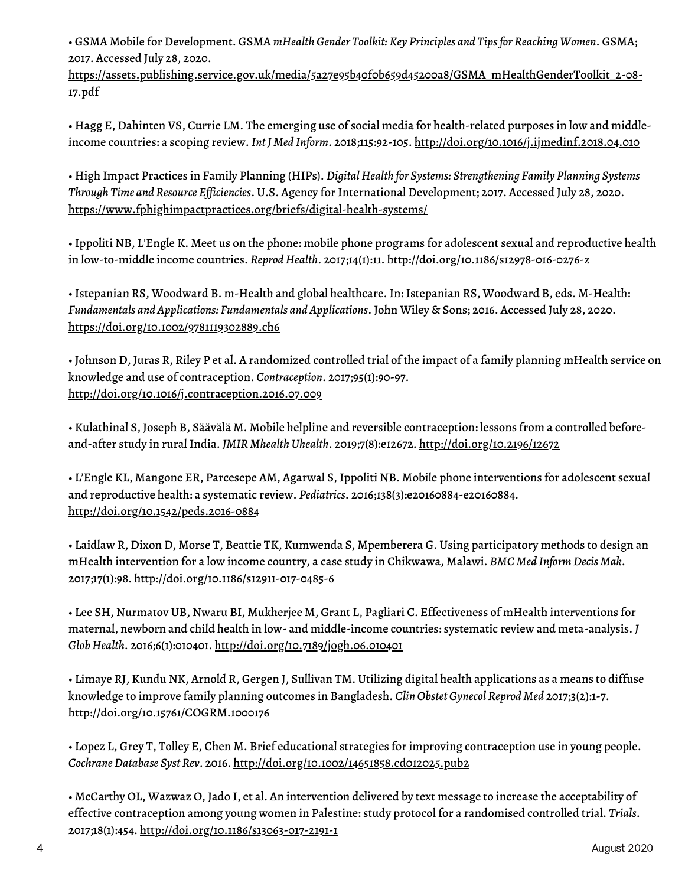• GSMA Mobile for Development. GSMA *mHealth Gender Toolkit: Key Principles and Tipsfor Reaching Women*. GSMA; 2017. Accessed July 28, 2020.

[https://assets.publishing.service.gov.uk/media/5a27e95b40f0b659d45200a8/GSMA\\_mHealthGenderToolkit\\_2-08-](https://assets.publishing.service.gov.uk/media/5a27e95b40f0b659d45200a8/GSMA_mHealthGenderToolkit_2-08-17.pdf) 17.pdf

• Hagg E, Dahinten VS, Currie LM. The emerging use of social media for health-related purposes in low and middleincome countries: a scoping review. *Int J Med Inform*. 2018;115:92-105. <http://doi.org/10.1016/j.ijmedinf.2018.04.010>

• High Impact Practices in Family Planning (HIPs). *Digital Health for Systems: Strengthening Family Planning Systems Through Time and Resource Ef iciencies*. U.S. Agency forInternational Development; 2017. Accessed July 28, 2020. <https://www.fphighimpactpractices.org/briefs/digital-health-systems/>

• Ippoliti NB, L'Engle K. Meet us on the phone: mobile phone programs for adolescent sexual and reproductive health in low-to-middle income countries. *Reprod Health*. 2017;14(1):11. <http://doi.org/10.1186/s12978-016-0276-z>

• Istepanian RS, Woodward B. m-Health and global healthcare. In: Istepanian RS, Woodward B, eds. M‐Health: *Fundamentals and Applications: Fundamentals and Applications*. John Wiley & Sons; 2016. Accessed July 28, 2020. <https://doi.org/10.1002/9781119302889.ch6>

• Johnson D, Juras R, Riley P et al. A randomized controlled trial of the impact of a family planning mHealth service on knowledge and use of contraception. *Contraception*. 2017;95(1):90-97. <http://doi.org/10.1016/j.contraception.2016.07.009>

• Kulathinal S, Joseph B, Säävälä M. Mobile helpline and reversible contraception: lessons from a controlled beforeand-after study in rural India. *JMIR Mhealth Uhealth*. 2019;7(8):e12672. <http://doi.org/10.2196/12672>

• L'Engle KL, Mangone ER, Parcesepe AM, Agarwal S, Ippoliti NB. Mobile phone interventions for adolescent sexual and reproductive health: a systematic review. *Pediatrics*. 2016;138(3):e20160884-e20160884. <http://doi.org/10.1542/peds.2016-0884>

• Laidlaw R, Dixon D, Morse T, Beattie TK, Kumwenda S, Mpemberera G. Using participatory methods to design an mHealth intervention for a low income country, a case study in Chikwawa, Malawi. *BMC Med Inform Decis Mak*. 2017;17(1):98. <http://doi.org/10.1186/s12911-017-0485-6>

• Lee SH, Nurmatov UB, Nwaru BI, Mukherjee M, Grant L, Pagliari C. Effectiveness of mHealth interventions for maternal, newborn and child health in low- and middle-income countries: systematic review and meta-analysis. *J Glob Health*. 2016;6(1):010401. <http://doi.org/10.7189/jogh.06.010401>

• Limaye RJ, Kundu NK, Arnold R, Gergen J, Sullivan TM. Utilizing digital health applications as a means to diffuse knowledge to improve family planning outcomes in Bangladesh. *ClinObstet Gynecol Reprod Med* 2017;3(2):1-7. <http://doi.org/10.15761/COGRM.1000176>

• Lopez L, Grey T, Tolley E, Chen M. Brief educational strategies for improving contraception use in young people. *CochraneDatabase Syst Rev*. 2016. <http://doi.org/10.1002/14651858.cd012025.pub2>

• McCarthy OL, Wazwaz O, Jado I, et al. An intervention delivered by text message to increase the acceptability of effective contraception among young women in Palestine: study protocol for a randomised controlled trial. *Trials*. 2017;18(1):454. <http://doi.org/10.1186/s13063-017-2191-1>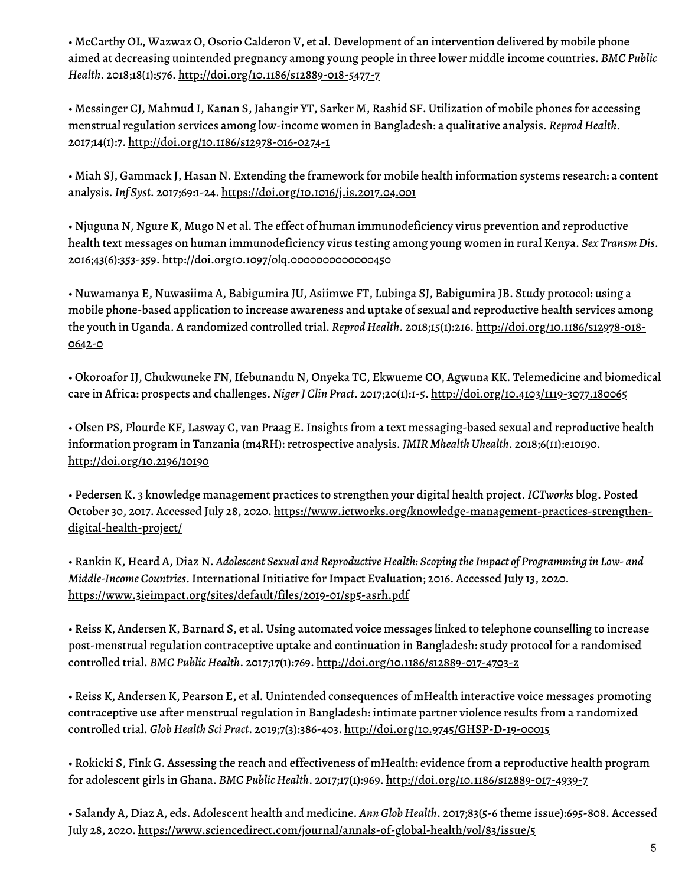• McCarthy OL, Wazwaz O, Osorio Calderon V, et al. Development of an intervention delivered by mobile phone aimed at decreasing unintended pregnancy among young people in three lower middle income countries. *BMC Public Health*. 2018;18(1):576. <http://doi.org/10.1186/s12889-018-5477-7>

• Messinger CJ, Mahmud I, Kanan S, Jahangir YT, Sarker M, Rashid SF. Utilization of mobile phones for accessing menstrual regulation services among low-income women in Bangladesh: a qualitative analysis. *Reprod Health*. 2017;14(1):7. <http://doi.org/10.1186/s12978-016-0274-1>

• Miah SJ, Gammack J, Hasan N. Extending the framework for mobile health information systems research: a content analysis. *Inf Syst*. 2017;69:1-24. <https://doi.org/10.1016/j.is.2017.04.001>

• Njuguna N, Ngure K, Mugo N et al. The effect of human immunodeficiency virus prevention and reproductive health text messages on human immunodeficiency virus testing among young women in rural Kenya. *Sex Transm Dis*. 2016;43(6):353-359. <http://doi.org10.1097/olq.0000000000000450>

• Nuwamanya E, Nuwasiima A, Babigumira JU, Asiimwe FT, Lubinga SJ, Babigumira JB. Study protocol: using a mobile phone-based application to increase awareness and uptake of sexual and reproductive health services among the youth in Uganda. A randomized controlled trial. *Reprod Health*. 2018;15(1):216. [http://doi.org/10.1186/s12978-018-](http://doi.org/10.1186/s12978-018-0642-0) 0642-0

• Okoroafor IJ, Chukwuneke FN, Ifebunandu N, Onyeka TC, Ekwueme CO, Agwuna KK. Telemedicine and biomedical care in Africa: prospects and challenges. *NigerJ Clin Pract*. 2017;20(1):1-5. <http://doi.org/10.4103/1119-3077.180065>

• Olsen PS, Plourde KF, Lasway C, van Praag E. Insights from a text messaging-based sexual and reproductive health information program in Tanzania (m4RH): retrospective analysis. *JMIR Mhealth Uhealth*. 2018;6(11):e10190. <http://doi.org/10.2196/10190>

• Pedersen K. 3 knowledge management practices to strengthen your digital health project. *ICTworks* blog. Posted October 30, 2017. Accessed July 28, 2020. [https://www.ictworks.org/knowledge-management-practices-strengthen](https://www.ictworks.org/knowledge-management-practices-strengthen-digital-health-project/)digital-health-project/

• Rankin K, Heard A, Diaz N. *Adolescent Sexual and Reproductive Health: Scoping theImpact of Programming in Low- and Middle-Income Countries*. International Initiative forImpact Evaluation; 2016. Accessed July 13, 2020. <https://www.3ieimpact.org/sites/default/files/2019-01/sp5-asrh.pdf>

• Reiss K, Andersen K, Barnard S, et al. Using automated voice messages linked to telephone counselling to increase post-menstrual regulation contraceptive uptake and continuation in Bangladesh: study protocol for a randomised controlled trial. *BMC Public Health*. 2017;17(1):769. <http://doi.org/10.1186/s12889-017-4703-z>

• Reiss K, Andersen K, Pearson E, et al. Unintended consequences of mHealth interactive voice messages promoting contraceptive use after menstrual regulation in Bangladesh: intimate partner violence results from a randomized controlled trial. *Glob Health Sci Pract*. 2019;7(3):386-403. <http://doi.org/10.9745/GHSP-D-19-00015>

• Rokicki S, Fink G. Assessing the reach and effectiveness of mHealth: evidence from a reproductive health program for adolescent girls in Ghana. *BMC Public Health*. 2017;17(1):969. <http://doi.org/10.1186/s12889-017-4939-7>

• Salandy A, Diaz A, eds. Adolescent health and medicine. *Ann Glob Health*. 2017;83(5-6 theme issue):695-808. Accessed July 28, 2020. <https://www.sciencedirect.com/journal/annals-of-global-health/vol/83/issue/5>